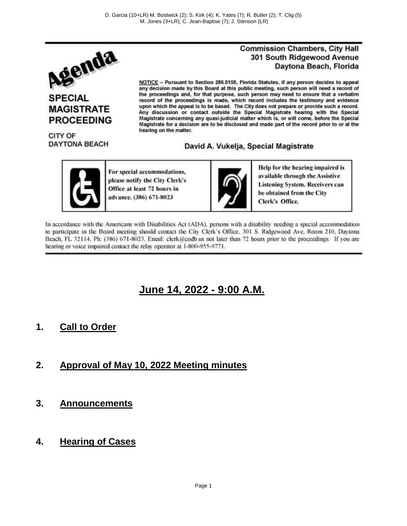

### **SPECIAL MAGISTRATE PROCEEDING**

CITY OF **DAYTONA BEACH** 

#### **Commission Chambers, City Hall** 301 South Ridgewood Avenue Daytona Beach, Florida

NOTICE -- Pursuant to Section 286.0105, Florida Statutes, if any person decides to appeal any decision made by this Board at this public meeting, such person will need a record of the proceedings and, for that purpose, such person may need to ensure that a verbatim record of the proceedings is made, which record includes the testimony and evidence upon which the appeal is to be based. The City does not prepare or provide such a record. Any discussion or contact outside the Special Magistrate hearing with the Special Magistrate concerning any quasi-judicial matter which is, or will come, before the Special Magistrate for a decision are to be disclosed and made part of the record prior to or at the hearing on the matter.

#### David A. Vukelja, Special Magistrate



For special accommodations, please notify the City Clerk's Office at least 72 hours in advance. (386) 671-8023



Help for the hearing impaired is available through the Assistive **Listening System. Receivers can** be obtained from the City Clerk's Office.

In accordance with the Americans with Disabilities Act (ADA), persons with a disability needing a special accommodation to participate in the Board meeting should contact the City Clerk's Office, 301 S. Ridgewood Ave, Room 210, Davtona Beach, FL 32114, Ph: (386) 671-8023, Email: clerk@codb.us not later than 72 hours prior to the proceedings. If you are hearing or voice impaired contact the relay operator at 1-800-955-9771.

## **June 14, 2022 - 9:00 A.M.**

#### **1. Call to Order**

- **2. Approval of May 10, 2022 Meeting minutes**
- **3. Announcements**
- **4. Hearing of Cases**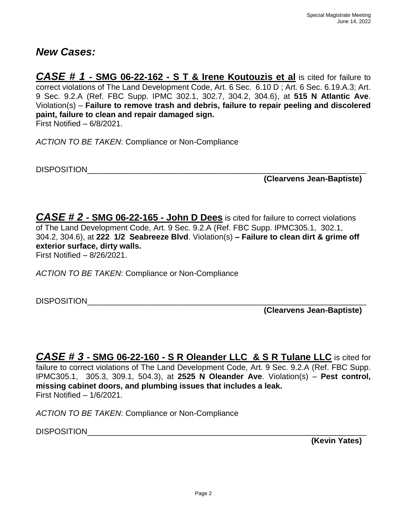#### *New Cases:*

*CASE # 1* **- SMG 06-22-162 - S T & Irene Koutouzis et al** is cited for failure to correct violations of The Land Development Code, Art. 6 Sec. 6.10 D ; Art. 6 Sec. 6.19.A.3; Art. 9 Sec. 9.2.A (Ref. FBC Supp. IPMC 302.1, 302.7, 304.2, 304.6), at **515 N Atlantic Ave**. Violation(s) – **Failure to remove trash and debris, failure to repair peeling and discolered paint, failure to clean and repair damaged sign.** First Notified – 6/8/2021.

*ACTION TO BE TAKEN*: Compliance or Non-Compliance

DISPOSITION\_\_\_\_\_\_\_\_\_\_\_\_\_\_\_\_\_\_\_\_\_\_\_\_\_\_\_\_\_\_\_\_\_\_\_\_\_\_\_\_\_\_\_\_\_\_\_\_\_\_\_\_\_\_\_\_\_\_\_\_\_\_\_

**(Clearvens Jean-Baptiste)**

*CASE # 2* **- SMG 06-22-165 - John D Dees** is cited for failure to correct violations of The Land Development Code, Art. 9 Sec. 9.2.A (Ref. FBC Supp. IPMC305.1, 302.1, 304.2, 304.6), at **222 1/2 Seabreeze Blvd**. Violation(s) **– Failure to clean dirt & grime off exterior surface, dirty walls.**

First Notified – 8/26/2021.

*ACTION TO BE TAKEN*: Compliance or Non-Compliance

DISPOSITION\_\_\_\_\_\_\_\_\_\_\_\_\_\_\_\_\_\_\_\_\_\_\_\_\_\_\_\_\_\_\_\_\_\_\_\_\_\_\_\_\_\_\_\_\_\_\_\_\_\_\_\_\_\_\_\_\_\_\_\_\_\_\_

**(Clearvens Jean-Baptiste)**

*CASE # 3* **- SMG 06-22-160 - S R Oleander LLC & S R Tulane LLC** is cited for failure to correct violations of The Land Development Code, Art. 9 Sec. 9.2.A (Ref. FBC Supp. IPMC305.1, 305.3, 309.1, 504.3), at **2525 N Oleander Ave**. Violation(s) – **Pest control, missing cabinet doors, and plumbing issues that includes a leak.** First Notified – 1/6/2021.

*ACTION TO BE TAKEN*: Compliance or Non-Compliance

DISPOSITION **EXECUTE A LIMITARY CONTROL** 

**(Kevin Yates)**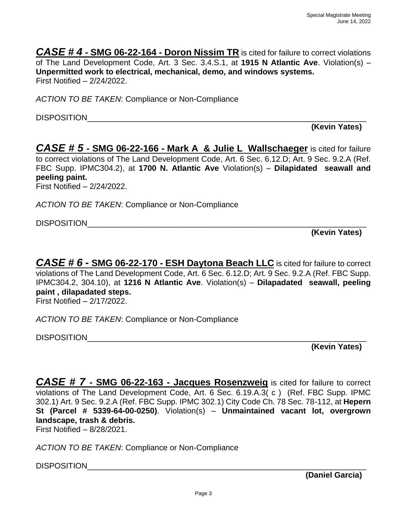*CASE # 4* **- SMG 06-22-164 - Doron Nissim TR** is cited for failure to correct violations of The Land Development Code, Art. 3 Sec. 3.4.S.1, at **1915 N Atlantic Ave**. Violation(s) – **Unpermitted work to electrical, mechanical, demo, and windows systems.** First Notified – 2/24/2022.

*ACTION TO BE TAKEN*: Compliance or Non-Compliance

DISPOSITION\_\_\_\_\_\_\_\_\_\_\_\_\_\_\_\_\_\_\_\_\_\_\_\_\_\_\_\_\_\_\_\_\_\_\_\_\_\_\_\_\_\_\_\_\_\_\_\_\_\_\_\_\_\_\_\_\_\_\_\_\_\_\_

**(Kevin Yates)**

*CASE # 5* **- SMG 06-22-166 - Mark A & Julie L Wallschaeger** is cited for failure to correct violations of The Land Development Code, Art. 6 Sec. 6.12.D; Art. 9 Sec. 9.2.A (Ref. FBC Supp. IPMC304.2), at **1700 N. Atlantic Ave** Violation(s) – **Dilapidated seawall and peeling paint.**

First Notified – 2/24/2022.

*ACTION TO BE TAKEN*: Compliance or Non-Compliance

DISPOSITION

**(Kevin Yates)**

*CASE # 6* **- SMG 06-22-170 - ESH Daytona Beach LLC** is cited for failure to correct violations of The Land Development Code, Art. 6 Sec. 6.12.D; Art. 9 Sec. 9.2.A (Ref. FBC Supp. IPMC304.2, 304.10), at **1216 N Atlantic Ave**. Violation(s) – **Dilapadated seawall, peeling paint , dilapadated steps.** First Notified – 2/17/2022.

*ACTION TO BE TAKEN*: Compliance or Non-Compliance

DISPOSITION\_\_\_\_\_\_\_\_\_\_\_\_\_\_\_\_\_\_\_\_\_\_\_\_\_\_\_\_\_\_\_\_\_\_\_\_\_\_\_\_\_\_\_\_\_\_\_\_\_\_\_\_\_\_\_\_\_\_\_\_\_\_\_

**(Kevin Yates)**

*CASE # 7* **- SMG 06-22-163 - Jacques Rosenzweig** is cited for failure to correct violations of The Land Development Code, Art. 6 Sec. 6.19.A.3( c ) (Ref. FBC Supp. IPMC 302.1) Art. 9 Sec. 9.2.A (Ref. FBC Supp. IPMC 302.1) City Code Ch. 78 Sec. 78-112, at **Hepern St (Parcel # 5339-64-00-0250)**. Violation(s) – **Unmaintained vacant lot, overgrown landscape, trash & debris.**

First Notified – 8/28/2021.

*ACTION TO BE TAKEN*: Compliance or Non-Compliance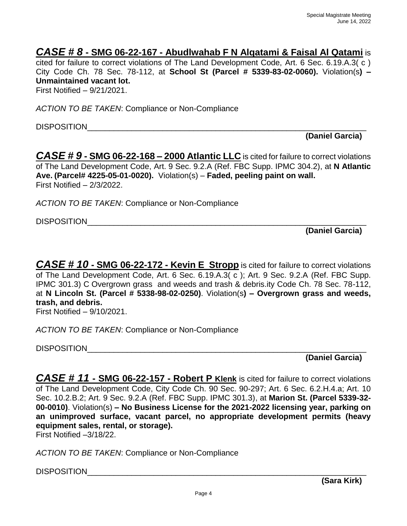#### *CASE # 8* **- SMG 06-22-167 - Abudlwahab F N Alqatami & Faisal Al Qatami** is

cited for failure to correct violations of The Land Development Code, Art. 6 Sec. 6.19.A.3( c ) City Code Ch. 78 Sec. 78-112, at **School St (Parcel # 5339-83-02-0060).** Violation(s**) – Unmaintained vacant lot.**

First Notified – 9/21/2021.

*ACTION TO BE TAKEN*: Compliance or Non-Compliance

DISPOSITION\_\_\_\_\_\_\_\_\_\_\_\_\_\_\_\_\_\_\_\_\_\_\_\_\_\_\_\_\_\_\_\_\_\_\_\_\_\_\_\_\_\_\_\_\_\_\_\_\_\_\_\_\_\_\_\_\_\_\_\_\_\_\_

**(Daniel Garcia)**

*CASE # 9* **- SMG 06-22-168 – 2000 Atlantic LLC** is cited for failure to correct violations of The Land Development Code, Art. 9 Sec. 9.2.A (Ref. FBC Supp. IPMC 304.2), at **N Atlantic Ave. (Parcel# 4225-05-01-0020).** Violation(s) – **Faded, peeling paint on wall.** First Notified – 2/3/2022.

*ACTION TO BE TAKEN*: Compliance or Non-Compliance

DISPOSITION\_\_\_\_\_\_\_\_\_\_\_\_\_\_\_\_\_\_\_\_\_\_\_\_\_\_\_\_\_\_\_\_\_\_\_\_\_\_\_\_\_\_\_\_\_\_\_\_\_\_\_\_\_\_\_\_\_\_\_\_\_\_\_

**(Daniel Garcia)**

*CASE # 10* **- SMG 06-22-172 - Kevin E Stropp** is cited for failure to correct violations of The Land Development Code, Art. 6 Sec. 6.19.A.3( c ); Art. 9 Sec. 9.2.A (Ref. FBC Supp. IPMC 301.3) C Overgrown grass and weeds and trash & debris.ity Code Ch. 78 Sec. 78-112, at **N Lincoln St. (Parcel # 5338-98-02-0250)**. Violation(s**) – Overgrown grass and weeds, trash, and debris.**

First Notified – 9/10/2021.

*ACTION TO BE TAKEN*: Compliance or Non-Compliance

DISPOSITION\_\_\_\_\_\_\_\_\_\_\_\_\_\_\_\_\_\_\_\_\_\_\_\_\_\_\_\_\_\_\_\_\_\_\_\_\_\_\_\_\_\_\_\_\_\_\_\_\_\_\_\_\_\_\_\_\_\_\_\_\_\_\_

**(Daniel Garcia)**

*CASE # 11* **- SMG 06-22-157 - Robert P Klenk** is cited for failure to correct violations of The Land Development Code, City Code Ch. 90 Sec. 90-297; Art. 6 Sec. 6.2.H.4.a; Art. 10 Sec. 10.2.B.2; Art. 9 Sec. 9.2.A (Ref. FBC Supp. IPMC 301.3), at **Marion St. (Parcel 5339-32- 00-0010)**. Violation(s) **– No Business License for the 2021-2022 licensing year, parking on an unimproved surface, vacant parcel, no appropriate development permits (heavy equipment sales, rental, or storage).**

First Notified –3/18/22.

*ACTION TO BE TAKEN*: Compliance or Non-Compliance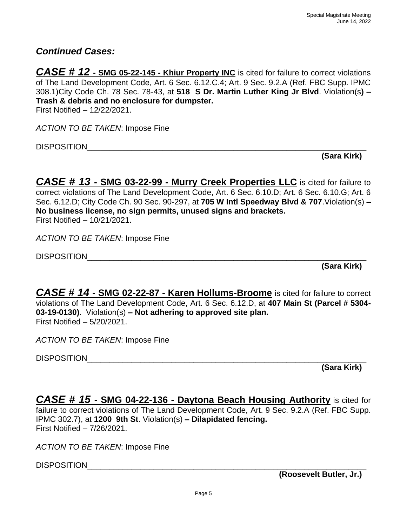#### *Continued Cases:*

*CASE # 12* **- SMG 05-22-145 - Khiur Property INC** is cited for failure to correct violations of The Land Development Code, Art. 6 Sec. 6.12.C.4; Art. 9 Sec. 9.2.A (Ref. FBC Supp. IPMC 308.1)City Code Ch. 78 Sec. 78-43, at **518 S Dr. Martin Luther King Jr Blvd**. Violation(s**) – Trash & debris and no enclosure for dumpster.** First Notified – 12/22/2021.

*ACTION TO BE TAKEN*: Impose Fine

DISPOSITION\_\_\_\_\_\_\_\_\_\_\_\_\_\_\_\_\_\_\_\_\_\_\_\_\_\_\_\_\_\_\_\_\_\_\_\_\_\_\_\_\_\_\_\_\_\_\_\_\_\_\_\_\_\_\_\_\_\_\_\_\_\_\_

**(Sara Kirk)**

*CASE # 13* **- SMG 03-22-99 - Murry Creek Properties LLC** is cited for failure to correct violations of The Land Development Code, Art. 6 Sec. 6.10.D; Art. 6 Sec. 6.10.G; Art. 6 Sec. 6.12.D; City Code Ch. 90 Sec. 90-297, at **705 W Intl Speedway Blvd & 707**.Violation(s) **– No business license, no sign permits, unused signs and brackets.** First Notified – 10/21/2021.

*ACTION TO BE TAKEN*: Impose Fine

DISPOSITION\_\_\_\_\_\_\_\_\_\_\_\_\_\_\_\_\_\_\_\_\_\_\_\_\_\_\_\_\_\_\_\_\_\_\_\_\_\_\_\_\_\_\_\_\_\_\_\_\_\_\_\_\_\_\_\_\_\_\_\_\_\_\_

**(Sara Kirk)**

*CASE # 14* **- SMG 02-22-87 - Karen Hollums-Broome** is cited for failure to correct violations of The Land Development Code, Art. 6 Sec. 6.12.D, at **407 Main St (Parcel # 5304- 03-19-0130)**. Violation(s) **– Not adhering to approved site plan.** First Notified – 5/20/2021.

*ACTION TO BE TAKEN*: Impose Fine

DISPOSITION

**(Sara Kirk)**

*CASE # 15* **- SMG 04-22-136 - Daytona Beach Housing Authority** is cited for failure to correct violations of The Land Development Code, Art. 9 Sec. 9.2.A (Ref. FBC Supp. IPMC 302.7), at **1200 9th St**. Violation(s) **– Dilapidated fencing.** First Notified – 7/26/2021.

*ACTION TO BE TAKEN*: Impose Fine

DISPOSITION **with a set of the set of the set of the set of the set of the set of the set of the set of the set o** 

**(Roosevelt Butler, Jr.)**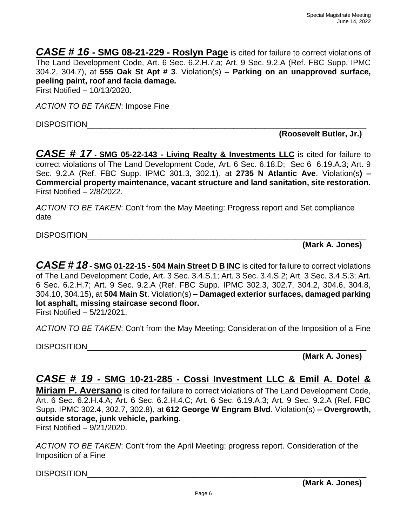*CASE # 16* **- SMG 08-21-229 - Roslyn Page** is cited for failure to correct violations of The Land Development Code, Art. 6 Sec. 6.2.H.7.a; Art. 9 Sec. 9.2.A (Ref. FBC Supp. IPMC 304.2, 304.7), at **555 Oak St Apt # 3**. Violation(s) **– Parking on an unapproved surface, peeling paint, roof and facia damage.**

First Notified – 10/13/2020.

*ACTION TO BE TAKEN*: Impose Fine

DISPOSITION\_\_\_\_\_\_\_\_\_\_\_\_\_\_\_\_\_\_\_\_\_\_\_\_\_\_\_\_\_\_\_\_\_\_\_\_\_\_\_\_\_\_\_\_\_\_\_\_\_\_\_\_\_\_\_\_\_\_\_\_\_\_\_

**(Roosevelt Butler, Jr.)**

*CASE # 17* **- SMG 05-22-143 - Living Realty & Investments LLC** is cited for failure to correct violations of The Land Development Code, Art. 6 Sec. 6.18.D; Sec 6 6.19.A.3; Art. 9 Sec. 9.2.A (Ref. FBC Supp. IPMC 301.3, 302.1), at **2735 N Atlantic Ave**. Violation(s**) – Commercial property maintenance, vacant structure and land sanitation, site restoration.** First Notified – 2/8/2022.

*ACTION TO BE TAKEN*: Con't from the May Meeting: Progress report and Set compliance date

DISPOSITION

**(Mark A. Jones)**

*CASE # 18* **- SMG 01-22-15 - 504 Main Street D B INC** is cited for failure to correct violations of The Land Development Code, Art. 3 Sec. 3.4.S.1; Art. 3 Sec. 3.4.S.2; Art. 3 Sec. 3.4.S.3; Art. 6 Sec. 6.2.H.7; Art. 9 Sec. 9.2.A (Ref. FBC Supp. IPMC 302.3, 302.7, 304.2, 304.6, 304.8, 304.10, 304.15), at **504 Main St**. Violation(s) **– Damaged exterior surfaces, damaged parking lot asphalt, missing staircase second floor.** First Notified – 5/21/2021.

*ACTION TO BE TAKEN*: Con't from the May Meeting: Consideration of the Imposition of a Fine

DISPOSITION

**(Mark A. Jones)**

### *CASE # 19* **- SMG 10-21-285 - Cossi Investment LLC & Emil A. Dotel &**

**Miriam P. Aversano** is cited for failure to correct violations of The Land Development Code, Art. 6 Sec. 6.2.H.4.A; Art. 6 Sec. 6.2.H.4.C; Art. 6 Sec. 6.19.A.3; Art. 9 Sec. 9.2.A (Ref. FBC Supp. IPMC 302.4, 302.7, 302.8), at **612 George W Engram Blvd**. Violation(s) **– Overgrowth, outside storage, junk vehicle, parking.**

First Notified – 9/21/2020.

*ACTION TO BE TAKEN*: Con't from the April Meeting: progress report. Consideration of the Imposition of a Fine

DISPOSITION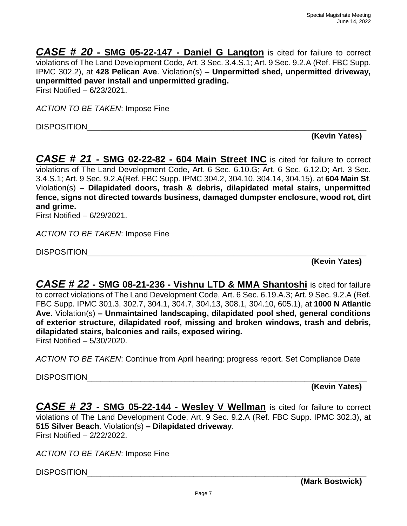*CASE # 20* **- SMG 05-22-147 - Daniel G Langton** is cited for failure to correct violations of The Land Development Code, Art. 3 Sec. 3.4.S.1; Art. 9 Sec. 9.2.A (Ref. FBC Supp. IPMC 302.2), at **428 Pelican Ave**. Violation(s) **– Unpermitted shed, unpermitted driveway, unpermitted paver install and unpermitted grading.** First Notified – 6/23/2021.

*ACTION TO BE TAKEN*: Impose Fine

DISPOSITION

**(Kevin Yates)** 

*CASE # 21* **- SMG 02-22-82 - 604 Main Street INC** is cited for failure to correct violations of The Land Development Code, Art. 6 Sec. 6.10.G; Art. 6 Sec. 6.12.D; Art. 3 Sec. 3.4.S.1; Art. 9 Sec. 9.2.A(Ref. FBC Supp. IPMC 304.2, 304.10, 304.14, 304.15), at **604 Main St**. Violation(s) – **Dilapidated doors, trash & debris, dilapidated metal stairs, unpermitted fence, signs not directed towards business, damaged dumpster enclosure, wood rot, dirt and grime.**

First Notified – 6/29/2021.

*ACTION TO BE TAKEN*: Impose Fine

DISPOSITION

**(Kevin Yates)**

*CASE # 22* **- SMG 08-21-236 - Vishnu LTD & MMA Shantoshi** is cited for failure to correct violations of The Land Development Code, Art. 6 Sec. 6.19.A.3; Art. 9 Sec. 9.2.A (Ref. FBC Supp. IPMC 301.3, 302.7, 304.1, 304.7, 304.13, 308.1, 304.10, 605.1), at **1000 N Atlantic Ave**. Violation(s) **– Unmaintained landscaping, dilapidated pool shed, general conditions of exterior structure, dilapidated roof, missing and broken windows, trash and debris, dilapidated stairs, balconies and rails, exposed wiring.**

First Notified – 5/30/2020.

*ACTION TO BE TAKEN*: Continue from April hearing: progress report. Set Compliance Date

DISPOSITION\_\_\_\_\_\_\_\_\_\_\_\_\_\_\_\_\_\_\_\_\_\_\_\_\_\_\_\_\_\_\_\_\_\_\_\_\_\_\_\_\_\_\_\_\_\_\_\_\_\_\_\_\_\_\_\_\_\_\_\_\_\_\_

**(Kevin Yates)**

*CASE # 23* **- SMG 05-22-144 - Wesley V Wellman** is cited for failure to correct violations of The Land Development Code, Art. 9 Sec. 9.2.A (Ref. FBC Supp. IPMC 302.3), at **515 Silver Beach**. Violation(s) **– Dilapidated driveway**. First Notified – 2/22/2022.

*ACTION TO BE TAKEN*: Impose Fine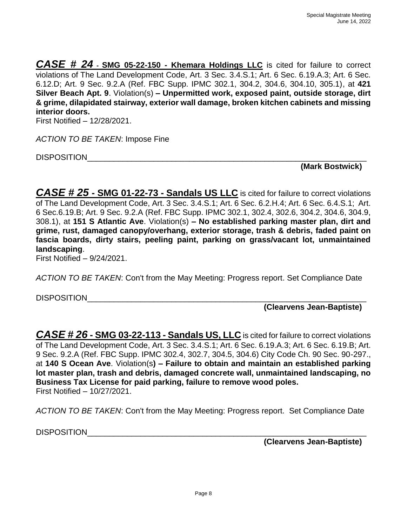*CASE # 24* **- SMG 05-22-150 - Khemara Holdings LLC** is cited for failure to correct violations of The Land Development Code, Art. 3 Sec. 3.4.S.1; Art. 6 Sec. 6.19.A.3; Art. 6 Sec. 6.12.D; Art. 9 Sec. 9.2.A (Ref. FBC Supp. IPMC 302.1, 304.2, 304.6, 304.10, 305.1), at **421 Silver Beach Apt. 9**. Violation(s) **– Unpermitted work, exposed paint, outside storage, dirt & grime, dilapidated stairway, exterior wall damage, broken kitchen cabinets and missing interior doors.**

First Notified – 12/28/2021.

*ACTION TO BE TAKEN*: Impose Fine

DISPOSITION\_\_\_\_\_\_\_\_\_\_\_\_\_\_\_\_\_\_\_\_\_\_\_\_\_\_\_\_\_\_\_\_\_\_\_\_\_\_\_\_\_\_\_\_\_\_\_\_\_\_\_\_\_\_\_\_\_\_\_\_\_\_\_

**(Mark Bostwick)**

*CASE # 25* **- SMG 01-22-73 - Sandals US LLC** is cited for failure to correct violations of The Land Development Code, Art. 3 Sec. 3.4.S.1; Art. 6 Sec. 6.2.H.4; Art. 6 Sec. 6.4.S.1; Art. 6 Sec.6.19.B; Art. 9 Sec. 9.2.A (Ref. FBC Supp. IPMC 302.1, 302.4, 302.6, 304.2, 304.6, 304.9, 308.1), at **151 S Atlantic Ave**. Violation(s) **– No established parking master plan, dirt and grime, rust, damaged canopy/overhang, exterior storage, trash & debris, faded paint on fascia boards, dirty stairs, peeling paint, parking on grass/vacant lot, unmaintained landscaping**.

First Notified – 9/24/2021.

*ACTION TO BE TAKEN*: Con't from the May Meeting: Progress report. Set Compliance Date

DISPOSITION

**(Clearvens Jean-Baptiste)**

*CASE # 26* **- SMG 03-22-113 - Sandals US, LLC** is cited for failure to correct violations of The Land Development Code, Art. 3 Sec. 3.4.S.1; Art. 6 Sec. 6.19.A.3; Art. 6 Sec. 6.19.B; Art. 9 Sec. 9.2.A (Ref. FBC Supp. IPMC 302.4, 302.7, 304.5, 304.6) City Code Ch. 90 Sec. 90-297., at **140 S Ocean Ave**. Violation(s**) – Failure to obtain and maintain an established parking lot master plan, trash and debris, damaged concrete wall, unmaintained landscaping, no Business Tax License for paid parking, failure to remove wood poles.** First Notified – 10/27/2021.

*ACTION TO BE TAKEN*: Con't from the May Meeting: Progress report. Set Compliance Date

DISPOSITION And the set of the set of the set of the set of the set of the set of the set of the set of the set of the set of the set of the set of the set of the set of the set of the set of the set of the set of the set

**(Clearvens Jean-Baptiste)**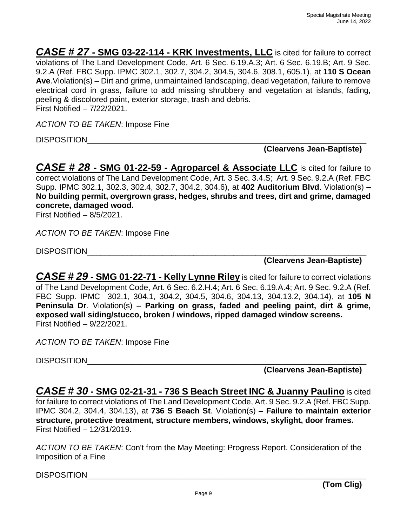*CASE # 27* **- SMG 03-22-114 - KRK Investments, LLC** is cited for failure to correct violations of The Land Development Code, Art. 6 Sec. 6.19.A.3; Art. 6 Sec. 6.19.B; Art. 9 Sec. 9.2.A (Ref. FBC Supp. IPMC 302.1, 302.7, 304.2, 304.5, 304.6, 308.1, 605.1), at **110 S Ocean Ave**.Violation(s) – Dirt and grime, unmaintained landscaping, dead vegetation, failure to remove electrical cord in grass, failure to add missing shrubbery and vegetation at islands, fading, peeling & discolored paint, exterior storage, trash and debris. First Notified – 7/22/2021.

*ACTION TO BE TAKEN*: Impose Fine

DISPOSITION\_\_\_\_\_\_\_\_\_\_\_\_\_\_\_\_\_\_\_\_\_\_\_\_\_\_\_\_\_\_\_\_\_\_\_\_\_\_\_\_\_\_\_\_\_\_\_\_\_\_\_\_\_\_\_\_\_\_\_\_\_\_\_

#### **(Clearvens Jean-Baptiste)**

*CASE # 28* **- SMG 01-22-59 - Agroparcel & Associate LLC** is cited for failure to correct violations of The Land Development Code, Art. 3 Sec. 3.4.S; Art. 9 Sec. 9.2.A (Ref. FBC Supp. IPMC 302.1, 302.3, 302.4, 302.7, 304.2, 304.6), at **402 Auditorium Blvd**. Violation(s) **– No building permit, overgrown grass, hedges, shrubs and trees, dirt and grime, damaged concrete, damaged wood.**

First Notified – 8/5/2021.

*ACTION TO BE TAKEN*: Impose Fine

DISPOSITION\_\_\_\_\_\_\_\_\_\_\_\_\_\_\_\_\_\_\_\_\_\_\_\_\_\_\_\_\_\_\_\_\_\_\_\_\_\_\_\_\_\_\_\_\_\_\_\_\_\_\_\_\_\_\_\_\_\_\_\_\_\_\_

**(Clearvens Jean-Baptiste)**

*CASE # 29* **- SMG 01-22-71 - Kelly Lynne Riley** is cited for failure to correct violations of The Land Development Code, Art. 6 Sec. 6.2.H.4; Art. 6 Sec. 6.19.A.4; Art. 9 Sec. 9.2.A (Ref. FBC Supp. IPMC 302.1, 304.1, 304.2, 304.5, 304.6, 304.13, 304.13.2, 304.14), at **105 N Peninsula Dr**. Violation(s) **– Parking on grass, faded and peeling paint, dirt & grime, exposed wall siding/stucco, broken / windows, ripped damaged window screens.** First Notified – 9/22/2021.

*ACTION TO BE TAKEN*: Impose Fine

DISPOSITION\_\_\_\_\_\_\_\_\_\_\_\_\_\_\_\_\_\_\_\_\_\_\_\_\_\_\_\_\_\_\_\_\_\_\_\_\_\_\_\_\_\_\_\_\_\_\_\_\_\_\_\_\_\_\_\_\_\_\_\_\_\_\_

**(Clearvens Jean-Baptiste)**

*CASE # 30* **- SMG 02-21-31 - 736 S Beach Street INC & Juanny Paulino** is cited for failure to correct violations of The Land Development Code, Art. 9 Sec. 9.2.A (Ref. FBC Supp. IPMC 304.2, 304.4, 304.13), at **736 S Beach St**. Violation(s) **– Failure to maintain exterior structure, protective treatment, structure members, windows, skylight, door frames.** First Notified – 12/31/2019.

*ACTION TO BE TAKEN*: Con't from the May Meeting: Progress Report. Consideration of the Imposition of a Fine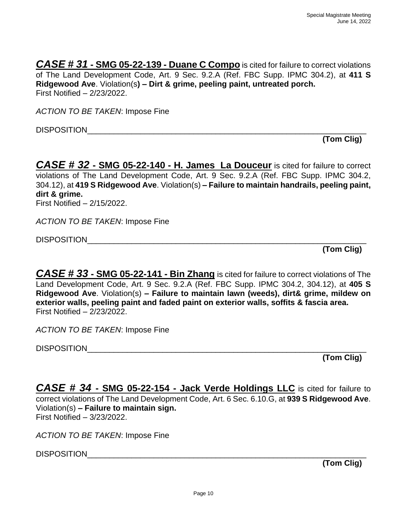*CASE # 31* **- SMG 05-22-139 - Duane C Compo** is cited for failure to correct violations of The Land Development Code, Art. 9 Sec. 9.2.A (Ref. FBC Supp. IPMC 304.2), at **411 S Ridgewood Ave**. Violation(s**) – Dirt & grime, peeling paint, untreated porch.** First Notified – 2/23/2022.

*ACTION TO BE TAKEN*: Impose Fine

DISPOSITION\_\_\_\_\_\_\_\_\_\_\_\_\_\_\_\_\_\_\_\_\_\_\_\_\_\_\_\_\_\_\_\_\_\_\_\_\_\_\_\_\_\_\_\_\_\_\_\_\_\_\_\_\_\_\_\_\_\_\_\_\_\_\_

**(Tom Clig)**

*CASE # 32* **- SMG 05-22-140 - H. James La Douceur** is cited for failure to correct violations of The Land Development Code, Art. 9 Sec. 9.2.A (Ref. FBC Supp. IPMC 304.2, 304.12), at **419 S Ridgewood Ave**. Violation(s) **– Failure to maintain handrails, peeling paint, dirt & grime.**

First Notified – 2/15/2022.

*ACTION TO BE TAKEN*: Impose Fine

DISPOSITION\_\_\_\_\_\_\_\_\_\_\_\_\_\_\_\_\_\_\_\_\_\_\_\_\_\_\_\_\_\_\_\_\_\_\_\_\_\_\_\_\_\_\_\_\_\_\_\_\_\_\_\_\_\_\_\_\_\_\_\_\_\_\_

**(Tom Clig)**

*CASE # 33* **- SMG 05-22-141 - Bin Zhang** is cited for failure to correct violations of The Land Development Code, Art. 9 Sec. 9.2.A (Ref. FBC Supp. IPMC 304.2, 304.12), at **405 S Ridgewood Ave**. Violation(s) **– Failure to maintain lawn (weeds), dirt& grime, mildew on exterior walls, peeling paint and faded paint on exterior walls, soffits & fascia area.** First Notified – 2/23/2022.

*ACTION TO BE TAKEN*: Impose Fine

DISPOSITION\_\_\_\_\_\_\_\_\_\_\_\_\_\_\_\_\_\_\_\_\_\_\_\_\_\_\_\_\_\_\_\_\_\_\_\_\_\_\_\_\_\_\_\_\_\_\_\_\_\_\_\_\_\_\_\_\_\_\_\_\_\_\_

**(Tom Clig)**

*CASE # 34* **- SMG 05-22-154 - Jack Verde Holdings LLC** is cited for failure to correct violations of The Land Development Code, Art. 6 Sec. 6.10.G, at **939 S Ridgewood Ave**. Violation(s) **– Failure to maintain sign.** First Notified – 3/23/2022.

*ACTION TO BE TAKEN*: Impose Fine

DISPOSITION\_\_\_\_\_\_\_\_\_\_\_\_\_\_\_\_\_\_\_\_\_\_\_\_\_\_\_\_\_\_\_\_\_\_\_\_\_\_\_\_\_\_\_\_\_\_\_\_\_\_\_\_\_\_\_\_\_\_\_\_\_\_\_

**(Tom Clig)**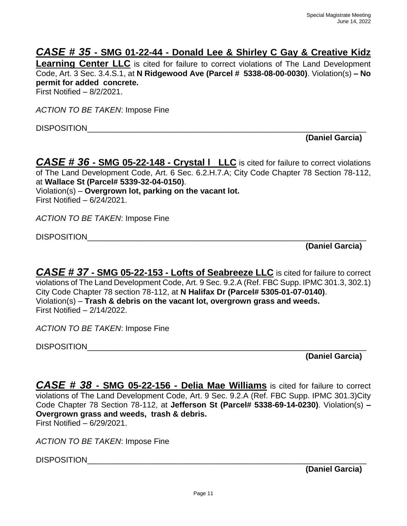### *CASE # 35* **- SMG 01-22-44 - Donald Lee & Shirley C Gay & Creative Kidz**

**Learning Center LLC** is cited for failure to correct violations of The Land Development Code, Art. 3 Sec. 3.4.S.1, at **N Ridgewood Ave (Parcel # 5338-08-00-0030)**. Violation(s) **– No permit for added concrete.**

First Notified – 8/2/2021.

*ACTION TO BE TAKEN*: Impose Fine

DISPOSITION\_\_\_\_\_\_\_\_\_\_\_\_\_\_\_\_\_\_\_\_\_\_\_\_\_\_\_\_\_\_\_\_\_\_\_\_\_\_\_\_\_\_\_\_\_\_\_\_\_\_\_\_\_\_\_\_\_\_\_\_\_\_\_

**(Daniel Garcia)**

*CASE # 36* **- SMG 05-22-148 - Crystal l LLC** is cited for failure to correct violations of The Land Development Code, Art. 6 Sec. 6.2.H.7.A; City Code Chapter 78 Section 78-112, at **Wallace St (Parcel# 5339-32-04-0150)**. Violation(s) – **Overgrown lot, parking on the vacant lot.**

First Notified – 6/24/2021.

*ACTION TO BE TAKEN*: Impose Fine

DISPOSITION\_\_\_\_\_\_\_\_\_\_\_\_\_\_\_\_\_\_\_\_\_\_\_\_\_\_\_\_\_\_\_\_\_\_\_\_\_\_\_\_\_\_\_\_\_\_\_\_\_\_\_\_\_\_\_\_\_\_\_\_\_\_\_

**(Daniel Garcia)**

*CASE # 37* **- SMG 05-22-153 - Lofts of Seabreeze LLC** is cited for failure to correct violations of The Land Development Code, Art. 9 Sec. 9.2.A (Ref. FBC Supp. IPMC 301.3, 302.1) City Code Chapter 78 section 78-112, at **N Halifax Dr (Parcel# 5305-01-07-0140)**. Violation(s) – **Trash & debris on the vacant lot, overgrown grass and weeds.** First Notified – 2/14/2022.

*ACTION TO BE TAKEN*: Impose Fine

DISPOSITION **Example 20** 

**(Daniel Garcia)**

*CASE # 38* **- SMG 05-22-156 - Delia Mae Williams** is cited for failure to correct violations of The Land Development Code, Art. 9 Sec. 9.2.A (Ref. FBC Supp. IPMC 301.3)City Code Chapter 78 Section 78-112, at **Jefferson St (Parcel# 5338-69-14-0230)**. Violation(s) **– Overgrown grass and weeds, trash & debris.** First Notified – 6/29/2021.

*ACTION TO BE TAKEN*: Impose Fine

DISPOSITION\_\_\_\_\_\_\_\_\_\_\_\_\_\_\_\_\_\_\_\_\_\_\_\_\_\_\_\_\_\_\_\_\_\_\_\_\_\_\_\_\_\_\_\_\_\_\_\_\_\_\_\_\_\_\_\_\_\_\_\_\_\_\_

**(Daniel Garcia)**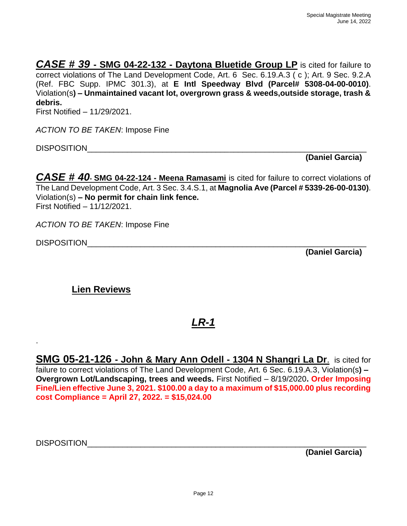*CASE # 39* **- SMG 04-22-132 - Daytona Bluetide Group LP** is cited for failure to correct violations of The Land Development Code, Art. 6 Sec. 6.19.A.3 ( c ); Art. 9 Sec. 9.2.A (Ref. FBC Supp. IPMC 301.3), at **E Intl Speedway Blvd (Parcel# 5308-04-00-0010)**. Violation(s**) – Unmaintained vacant lot, overgrown grass & weeds,outside storage, trash & debris.**

First Notified – 11/29/2021.

*ACTION TO BE TAKEN*: Impose Fine

DISPOSITION\_\_\_\_\_\_\_\_\_\_\_\_\_\_\_\_\_\_\_\_\_\_\_\_\_\_\_\_\_\_\_\_\_\_\_\_\_\_\_\_\_\_\_\_\_\_\_\_\_\_\_\_\_\_\_\_\_\_\_\_\_\_\_

**(Daniel Garcia)**

*CASE # 40***- SMG 04-22-124 - Meena Ramasami** is cited for failure to correct violations of The Land Development Code, Art. 3 Sec. 3.4.S.1, at **Magnolia Ave (Parcel # 5339-26-00-0130)**. Violation(s) **– No permit for chain link fence.** First Notified – 11/12/2021.

*ACTION TO BE TAKEN*: Impose Fine

DISPOSITION **Example 20** 

.

**(Daniel Garcia)**

**Lien Reviews**

*LR-1*

**SMG 05-21-126 - John & Mary Ann Odell - 1304 N Shangri La Dr**. is cited for failure to correct violations of The Land Development Code, Art. 6 Sec. 6.19.A.3, Violation(s**) – Overgrown Lot/Landscaping, trees and weeds.** First Notified – 8/19/2020**. Order Imposing Fine/Lien effective June 3, 2021. \$100.00 a day to a maximum of \$15,000.00 plus recording cost Compliance = April 27, 2022. = \$15,024.00**

DISPOSITION\_\_\_\_\_\_\_\_\_\_\_\_\_\_\_\_\_\_\_\_\_\_\_\_\_\_\_\_\_\_\_\_\_\_\_\_\_\_\_\_\_\_\_\_\_\_\_\_\_\_\_\_\_\_\_\_\_\_\_\_\_\_\_

**(Daniel Garcia)**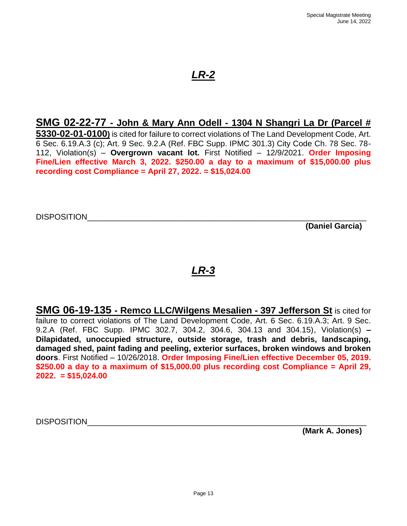#### **SMG 02-22-77 - John & Mary Ann Odell - 1304 N Shangri La Dr (Parcel #**

**5330-02-01-0100)** is cited for failure to correct violations of The Land Development Code, Art. 6 Sec. 6.19.A.3 (c); Art. 9 Sec. 9.2.A (Ref. FBC Supp. IPMC 301.3) City Code Ch. 78 Sec. 78- 112, Violation(s) – **Overgrown vacant lot.** First Notified – 12/9/2021. **Order Imposing Fine/Lien effective March 3, 2022. \$250.00 a day to a maximum of \$15,000.00 plus recording cost Compliance = April 27, 2022. = \$15,024.00**

DISPOSITION

**(Daniel Garcia)**

## *LR-3*

**SMG 06-19-135 - Remco LLC/Wilgens Mesalien - 397 Jefferson St** is cited for failure to correct violations of The Land Development Code, Art. 6 Sec. 6.19.A.3; Art. 9 Sec. 9.2.A (Ref. FBC Supp. IPMC 302.7, 304.2, 304.6, 304.13 and 304.15), Violation(s) **– Dilapidated, unoccupied structure, outside storage, trash and debris, landscaping, damaged shed, paint fading and peeling, exterior surfaces, broken windows and broken doors**. First Notified – 10/26/2018. **Order Imposing Fine/Lien effective December 05, 2019. \$250.00 a day to a maximum of \$15,000.00 plus recording cost Compliance = April 29, 2022. = \$15,024.00**

DISPOSITION\_\_\_\_\_\_\_\_\_\_\_\_\_\_\_\_\_\_\_\_\_\_\_\_\_\_\_\_\_\_\_\_\_\_\_\_\_\_\_\_\_\_\_\_\_\_\_\_\_\_\_\_\_\_\_\_\_\_\_\_\_\_\_

**(Mark A. Jones)**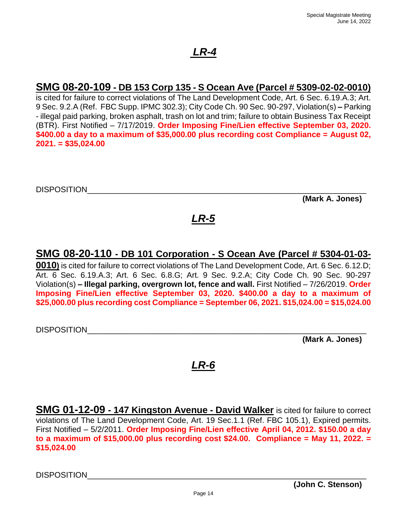### **SMG 08-20-109 - DB 153 Corp 135 - S Ocean Ave (Parcel # 5309-02-02-0010)**

is cited for failure to correct violations of The Land Development Code, Art. 6 Sec. 6.19.A.3; Art. 9 Sec. 9.2.A (Ref. FBC Supp. IPMC 302.3); City Code Ch. 90 Sec. 90-297, Violation(s) **–** Parking - illegal paid parking, broken asphalt, trash on lot and trim; failure to obtain Business Tax Receipt (BTR). First Notified – 7/17/2019. **Order Imposing Fine/Lien effective September 03, 2020. \$400.00 a day to a maximum of \$35,000.00 plus recording cost Compliance = August 02, 2021. = \$35,024.00**

DISPOSITION\_\_\_\_\_\_\_\_\_\_\_\_\_\_\_\_\_\_\_\_\_\_\_\_\_\_\_\_\_\_\_\_\_\_\_\_\_\_\_\_\_\_\_\_\_\_\_\_\_\_\_\_\_\_\_\_\_\_\_\_\_\_\_

**(Mark A. Jones)**

# *LR-5*

### **SMG 08-20-110 - DB 101 Corporation - S Ocean Ave (Parcel # 5304-01-03-**

**0010)** is cited for failure to correct violations of The Land Development Code, Art. 6 Sec. 6.12.D; Art. 6 Sec. 6.19.A.3; Art. 6 Sec. 6.8.G; Art. 9 Sec. 9.2.A; City Code Ch. 90 Sec. 90-297 Violation(s) **– Illegal parking, overgrown lot, fence and wall.** First Notified – 7/26/2019. **Order Imposing Fine/Lien effective September 03, 2020. \$400.00 a day to a maximum of \$25,000.00 plus recording cost Compliance = September 06, 2021. \$15,024.00 = \$15,024.00**

DISPOSITION\_\_\_\_\_\_\_\_\_\_\_\_\_\_\_\_\_\_\_\_\_\_\_\_\_\_\_\_\_\_\_\_\_\_\_\_\_\_\_\_\_\_\_\_\_\_\_\_\_\_\_\_\_\_\_\_\_\_\_\_\_\_\_

**(Mark A. Jones)**

## *LR-6*

**SMG 01-12-09 - 147 Kingston Avenue - David Walker** is cited for failure to correct violations of The Land Development Code, Art. 19 Sec.1.1 (Ref. FBC 105.1), Expired permits. First Notified – 5/2/2011. **Order Imposing Fine/Lien effective April 04, 2012. \$150.00 a day to a maximum of \$15,000.00 plus recording cost \$24.00. Compliance = May 11, 2022. = \$15,024.00**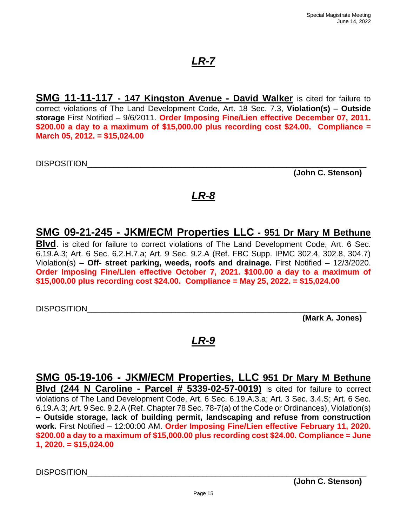**SMG 11-11-117 - 147 Kingston Avenue - David Walker** is cited for failure to correct violations of The Land Development Code, Art. 18 Sec. 7.3, **Violation(s) – Outside storage** First Notified – 9/6/2011. **Order Imposing Fine/Lien effective December 07, 2011. \$200.00 a day to a maximum of \$15,000.00 plus recording cost \$24.00. Compliance = March 05, 2012. = \$15,024.00**

DISPOSITION

**(John C. Stenson)**

## *LR-8*

### **SMG 09-21-245 - JKM/ECM Properties LLC - 951 Dr Mary M Bethune**

**Blvd**. is cited for failure to correct violations of The Land Development Code, Art. 6 Sec. 6.19.A.3; Art. 6 Sec. 6.2.H.7.a; Art. 9 Sec. 9.2.A (Ref. FBC Supp. IPMC 302.4, 302.8, 304.7) Violation(s) – **Off- street parking, weeds, roofs and drainage.** First Notified – 12/3/2020. **Order Imposing Fine/Lien effective October 7, 2021. \$100.00 a day to a maximum of \$15,000.00 plus recording cost \$24.00. Compliance = May 25, 2022. = \$15,024.00**

DISPOSITION\_\_\_\_\_\_\_\_\_\_\_\_\_\_\_\_\_\_\_\_\_\_\_\_\_\_\_\_\_\_\_\_\_\_\_\_\_\_\_\_\_\_\_\_\_\_\_\_\_\_\_\_\_\_\_\_\_\_\_\_\_\_\_

**(Mark A. Jones)**

## *LR-9*

**SMG 05-19-106 - JKM/ECM Properties, LLC 951 Dr Mary M Bethune Blvd (244 N Caroline - Parcel # 5339-02-57-0019)** is cited for failure to correct violations of The Land Development Code, Art. 6 Sec. 6.19.A.3.a; Art. 3 Sec. 3.4.S; Art. 6 Sec. 6.19.A.3; Art. 9 Sec. 9.2.A (Ref. Chapter 78 Sec. 78-7(a) of the Code or Ordinances), Violation(s) **– Outside storage, lack of building permit, landscaping and refuse from construction work.** First Notified – 12:00:00 AM. **Order Imposing Fine/Lien effective February 11, 2020. \$200.00 a day to a maximum of \$15,000.00 plus recording cost \$24.00. Compliance = June 1, 2020. = \$15,024.00**